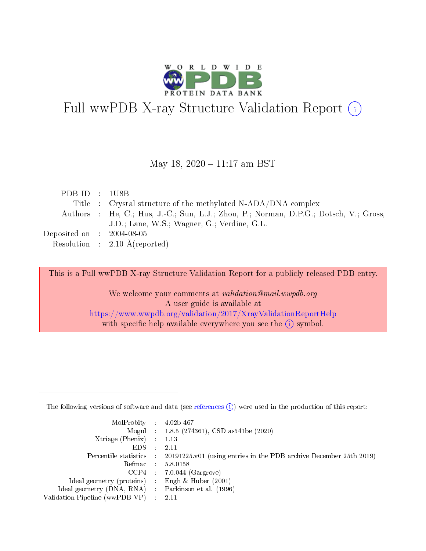

# Full wwPDB X-ray Structure Validation Report (i)

#### May 18, 2020 - 11:17 am BST

| PDB ID : 1U8B                       |                                                                                       |
|-------------------------------------|---------------------------------------------------------------------------------------|
|                                     | Title : Crystal structure of the methylated N-ADA/DNA complex                         |
|                                     | Authors : He, C.; Hus, J.-C.; Sun, L.J.; Zhou, P.; Norman, D.P.G.; Dotsch, V.; Gross, |
|                                     | J.D.; Lane, W.S.; Wagner, G.; Verdine, G.L.                                           |
| Deposited on $\,$ : 2004-08-05 $\,$ |                                                                                       |
|                                     | Resolution : $2.10 \text{ Å}$ (reported)                                              |

This is a Full wwPDB X-ray Structure Validation Report for a publicly released PDB entry.

We welcome your comments at validation@mail.wwpdb.org A user guide is available at <https://www.wwpdb.org/validation/2017/XrayValidationReportHelp> with specific help available everywhere you see the  $(i)$  symbol.

The following versions of software and data (see [references](https://www.wwpdb.org/validation/2017/XrayValidationReportHelp#references)  $(1)$ ) were used in the production of this report:

| $MolProbability$ : 4.02b-467                      |                              |                                                                                            |
|---------------------------------------------------|------------------------------|--------------------------------------------------------------------------------------------|
|                                                   |                              | Mogul : $1.8.5$ (274361), CSD as 541be (2020)                                              |
| Xtriage (Phenix) $: 1.13$                         |                              |                                                                                            |
| EDS –                                             | $\sim$                       | -2.11                                                                                      |
|                                                   |                              | Percentile statistics : 20191225.v01 (using entries in the PDB archive December 25th 2019) |
| Refmac : 5.8.0158                                 |                              |                                                                                            |
| CCP4                                              |                              | $7.0.044$ (Gargrove)                                                                       |
| Ideal geometry (proteins)                         | $\mathcal{L}_{\mathrm{eff}}$ | Engh & Huber $(2001)$                                                                      |
| Ideal geometry (DNA, RNA) Parkinson et al. (1996) |                              |                                                                                            |
| Validation Pipeline (wwPDB-VP) : 2.11             |                              |                                                                                            |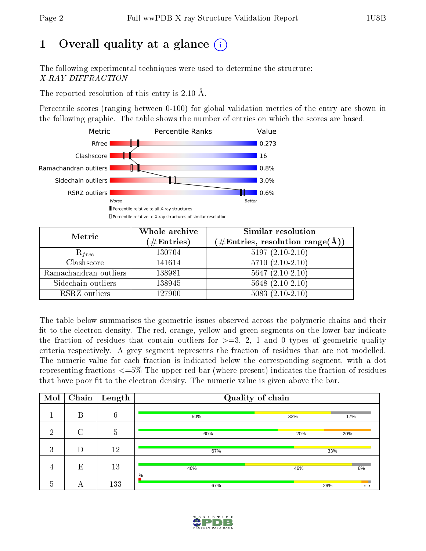# 1 [O](https://www.wwpdb.org/validation/2017/XrayValidationReportHelp#overall_quality)verall quality at a glance  $(i)$

The following experimental techniques were used to determine the structure: X-RAY DIFFRACTION

The reported resolution of this entry is 2.10 Å.

Percentile scores (ranging between 0-100) for global validation metrics of the entry are shown in the following graphic. The table shows the number of entries on which the scores are based.



| Metric                | Whole archive<br>$(\#\text{Entries})$ | Similar resolution<br>$(\#\text{Entries}, \text{resolution range}(\text{\AA}))$ |
|-----------------------|---------------------------------------|---------------------------------------------------------------------------------|
| $R_{free}$            | 130704                                | $5197(2.10-2.10)$                                                               |
| Clashscore            | 141614                                | $5710(2.10-2.10)$                                                               |
| Ramachandran outliers | 138981                                | $5647 (2.10-2.10)$                                                              |
| Sidechain outliers    | 138945                                | $5648(2.10-2.10)$                                                               |
| RSRZ outliers         | 127900                                | $5083(2.10-2.10)$                                                               |

The table below summarises the geometric issues observed across the polymeric chains and their fit to the electron density. The red, orange, yellow and green segments on the lower bar indicate the fraction of residues that contain outliers for  $>=3, 2, 1$  and 0 types of geometric quality criteria respectively. A grey segment represents the fraction of residues that are not modelled. The numeric value for each fraction is indicated below the corresponding segment, with a dot representing fractions <=5% The upper red bar (where present) indicates the fraction of residues that have poor fit to the electron density. The numeric value is given above the bar.

| Mol            | Chain  | Length          | Quality of chain |     |                     |
|----------------|--------|-----------------|------------------|-----|---------------------|
|                | B      | $6\phantom{.}6$ | 50%              | 33% | 17%                 |
| $\overline{2}$ | $\cap$ | $\overline{5}$  | 60%              | 20% | 20%                 |
| 3              | D      | 12              | 67%              |     | 33%                 |
| -4             | E      | 13              | 46%              | 46% | 8%                  |
| 5              | A      | 133             | $\%$<br>67%      |     | 29%<br>$\cdot\cdot$ |

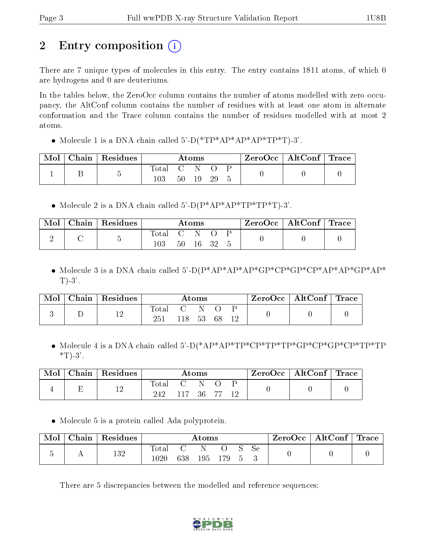# 2 Entry composition  $\binom{1}{1}$

There are 7 unique types of molecules in this entry. The entry contains 1811 atoms, of which 0 are hydrogens and 0 are deuteriums.

In the tables below, the ZeroOcc column contains the number of atoms modelled with zero occupancy, the AltConf column contains the number of residues with at least one atom in alternate conformation and the Trace column contains the number of residues modelled with at most 2 atoms.

• Molecule 1 is a DNA chain called  $5'-D(*TP*AP*AP*AP*TP*T)-3'$ .

| Mol | Chain   Residues | Atoms            |    |    |    |  | $\text{ZeroOcc}$   AltConf   Trace |  |
|-----|------------------|------------------|----|----|----|--|------------------------------------|--|
|     |                  | Total<br>$103\,$ | 50 | 19 | 29 |  |                                    |  |

• Molecule 2 is a DNA chain called  $5^{\circ}$ -D(P\*AP\*AP\*TP\*TP\*T)-3'.

| Mol | Chain   Residues | Atoms        |     |          |  |  | $\text{ZeroOcc}$   AltConf   Trace |  |
|-----|------------------|--------------|-----|----------|--|--|------------------------------------|--|
|     |                  | Total<br>103 | C N | 50 16 32 |  |  |                                    |  |

 Molecule 3 is a DNA chain called 5'-D(P\*AP\*AP\*AP\*GP\*CP\*GP\*CP\*AP\*AP\*GP\*AP\*  $T$ )-3'.

| ${\rm Chain}$ | Residues | $\rm{Atoms}$         |     |  |    |  | ZeroOcc | $\vert$ AltConf $\vert$ | $^+$ Trace |
|---------------|----------|----------------------|-----|--|----|--|---------|-------------------------|------------|
|               | 1 ດ      | $\tau_{\text{otal}}$ | 118 |  | 68 |  |         |                         |            |

 Molecule 4 is a DNA chain called 5'-D(\*AP\*AP\*TP\*CP\*TP\*TP\*GP\*CP\*GP\*CP\*TP\*TP  $*T$ -3'.

| Mol | Chain | $\,$ Residues | $\rm{Atoms}$          |               |    |    |  | ZeroOcc | $\vert$ AltConf $\vert$ | $^+$ Trace |
|-----|-------|---------------|-----------------------|---------------|----|----|--|---------|-------------------------|------------|
|     |       | 1 ດ<br>⊥∠     | $_{\rm Total}$<br>242 | $\sim$ $\sim$ | 36 | 77 |  |         |                         |            |

Molecule 5 is a protein called Ada polyprotein.

| Mol | Chain | Residues | Atoms             |     |     |  |  |               | $ZeroOcc \   \$ AltConf | Trace |
|-----|-------|----------|-------------------|-----|-----|--|--|---------------|-------------------------|-------|
|     |       | 132      | Total<br>$1020\,$ | 638 | 195 |  |  | <sub>Se</sub> |                         |       |

There are 5 discrepancies between the modelled and reference sequences:

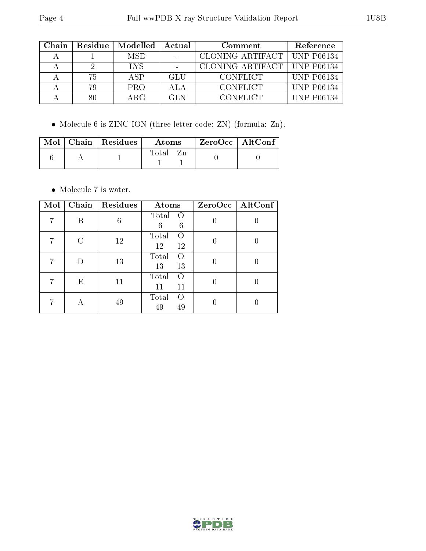| Chain | Residue | Modelled | Actual     | Comment                       | Reference         |
|-------|---------|----------|------------|-------------------------------|-------------------|
|       |         | MSE.     |            | CLONING ARTIFACT   UNP P06134 |                   |
|       |         | LYS      |            | CLONING ARTIFACT   UNP P06134 |                   |
|       | 75.     | A SP     | <b>GLU</b> | <b>CONFLICT</b>               | <b>UNP P06134</b> |
|       |         | PRO      | A L A      | <b>CONFLICT</b>               | <b>UNP P06134</b> |
|       |         | ARG      | GL N       | <b>CONFLICT</b>               | <b>UNP P06134</b> |

Molecule 6 is ZINC ION (three-letter code: ZN) (formula: Zn).

|  | $\text{Mol}$   Chain   Residues | Atoms |  | $\mathsf{ZeroOcc} \mid \mathsf{AltConf} \mid$ |  |
|--|---------------------------------|-------|--|-----------------------------------------------|--|
|  |                                 | Total |  |                                               |  |

 $\bullet\,$  Molecule 7 is water.

| Mol | Chain                       | Residues | Atoms                                 |   | ZeroOcc   AltConf |
|-----|-----------------------------|----------|---------------------------------------|---|-------------------|
|     | В                           | 6        | Total<br>$\Omega$<br>6<br>6           |   |                   |
| 7   | $\mathcal{C}_{\mathcal{C}}$ | 12       | Total<br>$\left( \right)$<br>12<br>12 | 0 |                   |
| 7   |                             | 13       | Total<br>$\Omega$<br>13<br>13         |   |                   |
|     | E                           | 11       | Total<br>$\left( \right)$<br>11<br>11 |   |                   |
|     |                             | 49       | Total<br>$\left( \right)$<br>49<br>49 |   |                   |

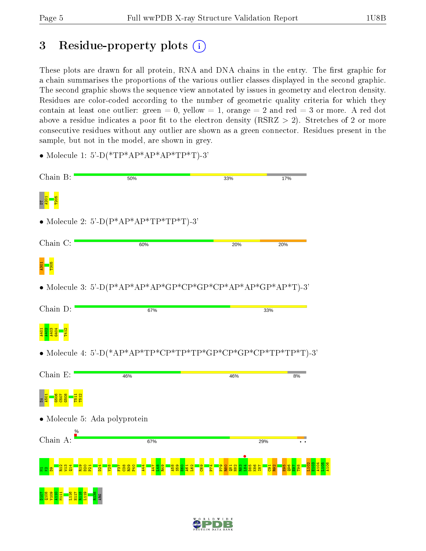## 3 Residue-property plots  $(i)$

These plots are drawn for all protein, RNA and DNA chains in the entry. The first graphic for a chain summarises the proportions of the various outlier classes displayed in the second graphic. The second graphic shows the sequence view annotated by issues in geometry and electron density. Residues are color-coded according to the number of geometric quality criteria for which they contain at least one outlier: green  $= 0$ , yellow  $= 1$ , orange  $= 2$  and red  $= 3$  or more. A red dot above a residue indicates a poor fit to the electron density (RSRZ  $> 2$ ). Stretches of 2 or more consecutive residues without any outlier are shown as a green connector. Residues present in the sample, but not in the model, are shown in grey.

- Chain B: 50% 33% 17% E <mark>d = 8</mark><br>E <mark>2</mark> • Molecule 2: 5'-D $(P^*AP^*AP^*TP^*TP^*T)$ -3' Chain C: 60% 20% 20% a<mark>3</mark><br><mark>m</mark>36 • Molecule 3: 5'-D( $P^*AP^*AP^*AP^*GP^*CP^*GP^*CP^*AP^*AP^*AP^*TP^*AP^*TP^*AP^*T$ )-3' Chain D: 67% 33% <mark>3 3 3 3 - 11</mark><br>4 3 3 3 - <mark>11</mark><br>4 4 4 3 - <mark>11</mark> • Molecule 4: 5'-D(\*AP\*AP\*TP\*CP\*TP\*TP\*GP\*CP\*GP\*CP\*TP\*TP\*T)-3' Chain E: 46% 46%  $8%$ 3 <mark>5 6 6 6 6 6</mark><br><mark>15 6 6 6 6 6 6</mark> T511 T512 • Molecule 5: Ada polyprotein Chain A: 67% 29%  $\overline{\cdot}$  .  $\frac{184}{184}$ L102 E103 <sub>보 없 <mark>8 - 13 요 참</mark></sub>  $\frac{1}{2}$  $\frac{44}{4}$ P74 R19 D20  $\overline{\mathbf{z}}$  $\frac{8}{2}$  $\overline{5}$  $\frac{8}{2}$ R39 P40 A47  $\frac{98}{1}$ R49 A58  $53<sub>5</sub>$  $\frac{8}{2}$ A61  $\frac{162}{16}$  $\frac{8}{25}$  $\frac{1}{2}$ R80  $\frac{1}{8}$ H82 R83 D85 K86 I87  $\overline{\mathbf{g}}$  | R92  $\frac{8}{2}$  $\frac{96}{2}$  $\frac{5}{2}$ T98 D107 Q108 V109 A110 L116 H117 R118 L119 R138 M111 ARG
- Molecule 1: 5'-D(\*TP\*AP\*AP\*AP\*TP\*T)-3'



A104 L105 A106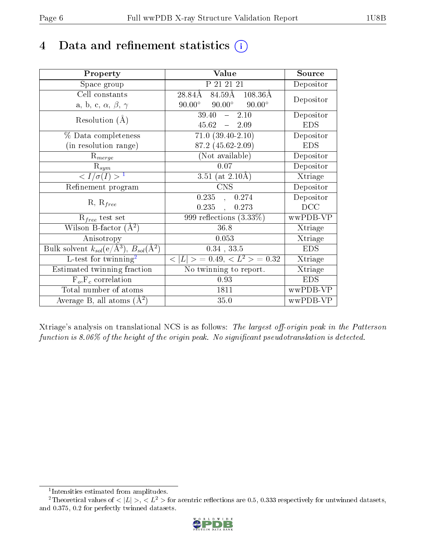## 4 Data and refinement statistics  $(i)$

| Property                                                         | Value                                            | Source     |
|------------------------------------------------------------------|--------------------------------------------------|------------|
| Space group                                                      | P 21 21 21                                       | Depositor  |
| Cell constants                                                   | $84.59A$ 108.36Å<br>28.84Å                       | Depositor  |
| a, b, c, $\alpha$ , $\beta$ , $\gamma$                           | $90.00^{\circ}$ $90.00^{\circ}$<br>$90.00^\circ$ |            |
| Resolution $(A)$                                                 | 39.40<br>$-2.10$                                 | Depositor  |
|                                                                  | $45.62 - 2.09$                                   | <b>EDS</b> |
| % Data completeness                                              | $71.0 (39.40 - 2.10)$                            | Depositor  |
| (in resolution range)                                            | 87.2 (45.62-2.09)                                | <b>EDS</b> |
| $R_{merge}$                                                      | (Not available)                                  | Depositor  |
| $\mathrm{R}_{sym}$                                               | 0.07                                             | Depositor  |
| $\sqrt{I/\sigma(I)} > 1$                                         | 3.51 (at $2.10\text{\AA}$ )                      | Xtriage    |
| Refinement program                                               | $\overline{\text{CNS}}$                          | Depositor  |
|                                                                  | 0.235,<br>0.274                                  | Depositor  |
| $R, R_{free}$                                                    | 0.235<br>0.273                                   | DCC        |
| $R_{free}$ test set                                              | 999 reflections $(3.33\%)$                       | wwPDB-VP   |
| Wilson B-factor $(A^2)$                                          | 36.8                                             | Xtriage    |
| Anisotropy                                                       | 0.053                                            | Xtriage    |
| Bulk solvent $k_{sol}(\text{e}/\text{A}^3), B_{sol}(\text{A}^2)$ | $0.34$ , $33.5$                                  | <b>EDS</b> |
| L-test for $\mathrm{twinning}^2$                                 | $< L >$ = 0.49, $< L^2 >$ = 0.32                 | Xtriage    |
| Estimated twinning fraction                                      | No twinning to report.                           | Xtriage    |
| $F_o, F_c$ correlation                                           | 0.93                                             | <b>EDS</b> |
| Total number of atoms                                            | 1811                                             | wwPDB-VP   |
| Average B, all atoms $(A^2)$                                     | 35.0                                             | wwPDB-VP   |

Xtriage's analysis on translational NCS is as follows: The largest off-origin peak in the Patterson function is  $8.06\%$  of the height of the origin peak. No significant pseudotranslation is detected.

<sup>&</sup>lt;sup>2</sup>Theoretical values of  $\langle |L| \rangle$ ,  $\langle L^2 \rangle$  for acentric reflections are 0.5, 0.333 respectively for untwinned datasets, and 0.375, 0.2 for perfectly twinned datasets.



<span id="page-5-1"></span><span id="page-5-0"></span><sup>1</sup> Intensities estimated from amplitudes.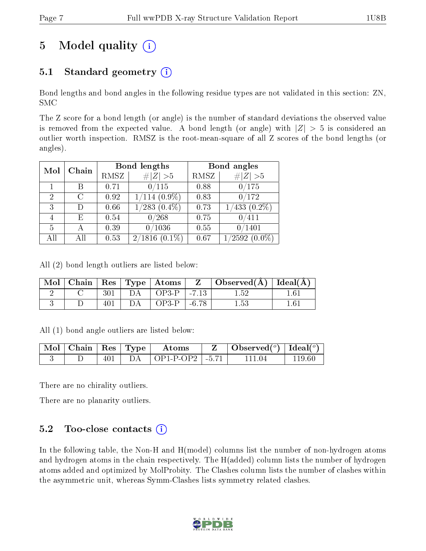# 5 Model quality  $(i)$

### 5.1 Standard geometry  $(i)$

Bond lengths and bond angles in the following residue types are not validated in this section: ZN, SMC

The Z score for a bond length (or angle) is the number of standard deviations the observed value is removed from the expected value. A bond length (or angle) with  $|Z| > 5$  is considered an outlier worth inspection. RMSZ is the root-mean-square of all Z scores of the bond lengths (or angles).

| Mol | Chain | Bond lengths |                        | Bond angles |                    |
|-----|-------|--------------|------------------------|-------------|--------------------|
|     |       | RMSZ         | # $ Z  > 5$            | RMSZ        | # $ Z >5$          |
|     | В     | 0.71         | 0/115                  | 0.88        | 0/175              |
| 2   | C     | 0.92         | $1/114$ $(0.9\%)$      | 0.83        | 0/172              |
| 3   |       | 0.66         | $\sqrt{283}$ $(0.4\%)$ | 0.73        | $(0.2\%)$<br>1/433 |
| 4   | F)    | 0.54         | 0/268                  | 0.75        | 0/411              |
| 5   | А     | 0.39         | 0/1036                 | 0.55        | 0/1401             |
| All |       | 0.53         | $(0.1\%)$<br>2/1816    | 0.67        | $1/2592(0.0\%)$    |

All (2) bond length outliers are listed below:

| $\text{Mol}$ |     |    |                            | $\mid$ Chain $\mid$ Res $\mid$ Type $\mid$ Atoms $\mid$ Z $\mid$ Observed(A) $\mid$ Ideal(A) $\mid$ |     |
|--------------|-----|----|----------------------------|-----------------------------------------------------------------------------------------------------|-----|
|              |     |    | $301$   DA   OP3-P   -7.13 | 1.52                                                                                                | 161 |
|              | 401 | DA | $\overline{OP3-P}$   -6.78 | $1.53\,$                                                                                            | 161 |

All (1) bond angle outliers are listed below:

|  |  | $\lceil \text{Mol} \rceil$ Chain $\lceil \text{Res} \rceil$ Type $\lceil \text{~Atoms} \rceil$ | Observed $(^\circ)$   Ideal $(^\circ)$ |        |
|--|--|------------------------------------------------------------------------------------------------|----------------------------------------|--------|
|  |  | $401$   DA   OP1-P-OP2   -5.71                                                                 | -111-04                                | 119 60 |

There are no chirality outliers.

There are no planarity outliers.

#### 5.2 Too-close contacts  $(i)$

In the following table, the Non-H and H(model) columns list the number of non-hydrogen atoms and hydrogen atoms in the chain respectively. The H(added) column lists the number of hydrogen atoms added and optimized by MolProbity. The Clashes column lists the number of clashes within the asymmetric unit, whereas Symm-Clashes lists symmetry related clashes.

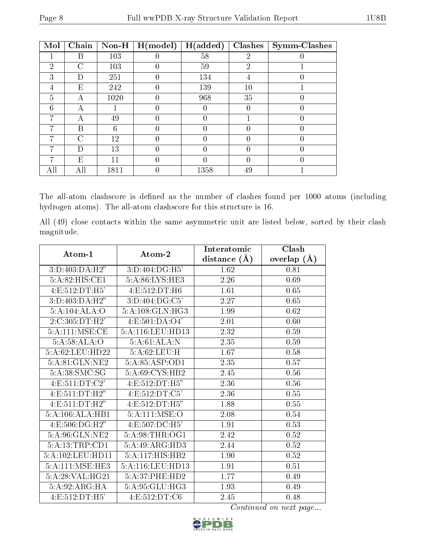| Mol | Chain     | $Non-H$ | H (model) | H(added) | <b>Clashes</b> | <b>Symm-Clashes</b> |
|-----|-----------|---------|-----------|----------|----------------|---------------------|
|     | В         | 103     |           | 58       | 2              |                     |
| 2   | C         | 103     |           | 59       | $\overline{2}$ |                     |
| 3   | $\Box$    | 251     |           | 134      | 4              |                     |
| 4   | E         | 242     |           | 139      | 10             |                     |
| 5   | А         | 1020    | 0         | 968      | 35             |                     |
| 6   | А         |         | 0         |          | 0              |                     |
| ⋻   | А         | 49      | 0         |          |                |                     |
|     | B         | 6       |           |          |                |                     |
|     | $\subset$ | 12      |           |          | U              |                     |
|     | Ð         | 13      |           |          | ( )            |                     |
|     | E,        | 11      |           |          | 0              |                     |
| All |           | 1811    |           | 1358     | 49             |                     |

The all-atom clashscore is defined as the number of clashes found per 1000 atoms (including hydrogen atoms). The all-atom clashscore for this structure is 16.

All (49) close contacts within the same asymmetric unit are listed below, sorted by their clash magnitude.

| Atom-1                          | Atom-2                          | Interatomic      | Clash         |
|---------------------------------|---------------------------------|------------------|---------------|
|                                 |                                 | distance $(\AA)$ | overlap $(A)$ |
| 3:D:403:DA:H2"                  | 3:D:404:DG:H5'                  | 1.62             | 0.81          |
| 5:A:82:HIS:C <sub>E1</sub>      | 5:A:86:LYS:HE3                  | 2.26             | 0.69          |
| 4:E:512:DT:H5'                  | 4:E:512:DT:H6                   | 1.61             | 0.65          |
| 3:D:403:DA:H2"                  | $3: D:404: DG: \overline{C5'}$  | 2.27             | 0.65          |
| 5:A:104:ALA:O                   | 5:A:108:GLN:HG3                 | 1.99             | 0.62          |
| 2:C:305:DT:H2'                  | $4: E: 501: DA: \overline{O4'}$ | 2.01             | 0.60          |
| 5:A:111:MSE:CE                  | 5:A:116:LEU:HD13                | 2.32             | 0.59          |
| $5:A:58:ALA:\overline{O}$       | 5:A:61:ALA:N                    | 2.35             | 0.59          |
| 5:A:62:LEU:HD22                 | 5:A:62:LEU:H                    | 1.67             | 0.58          |
| 5:A:81:GLN:NE2                  | 5:A:85:ASP:OD1                  | 2.35             | 0.57          |
| 5:A:38:SMC:SG                   | 5:A:69:CYS:HB2                  | 2.45             | 0.56          |
| 4:E:511:DT:C2'                  | 4:E:512:DT:H5"                  | 2.36             | 0.56          |
| 4:E:511:DT:H2"                  | 4:E:512:DT:C5'                  | 2.36             | 0.55          |
| $4: E: 511: \overline{DT:H2"$   | 4: E: 512: DT: H5"              | 1.88             | 0.55          |
| 5:A:106:ALA:HB1                 | 5:A:111:MSE:O                   | 2.08             | 0.54          |
| $4: E: 506: DG: \overline{H2"}$ | 4:E:507:DC:H5'                  | 1.91             | 0.53          |
| 5:A:96:GLN:NE2                  | 5:A:98:THR:OG1                  | 2.42             | 0.52          |
| 5:A:13:TRP:CD1                  | 5:A:49:ARG:HD3                  | 2.44             | $0.52\,$      |
| 5:A:102:LEU:HD11                | 5:A:117:HIS:HB2                 | 1.90             | 0.52          |
| 5:A:111:MSE:HE3                 | 5:A:116:LEU:HD13                | 1.91             | 0.51          |
| $5:A:28:VAL$ : $HG21$           | 5:A:37:PHE:HD2                  | 1.77             | 0.49          |
| 5:A:92:ARG:HA                   | 5:A:95:GLU:HG3                  | 1.93             | 0.49          |
| 4:E:512:DT:H5'                  | 4:E:512:DT:C6                   | 2.45             | 0.48          |

Continued on next page...

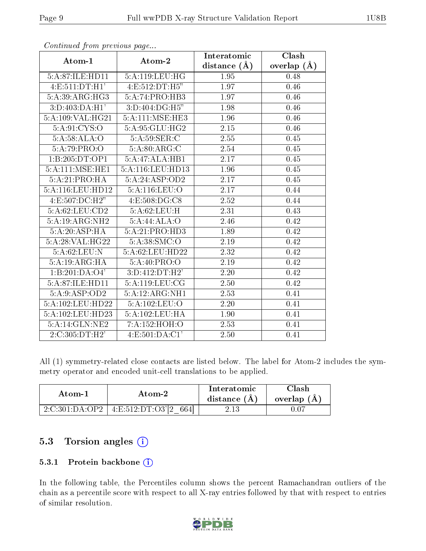|                                            |                                      | Interatomic       | Clash         |
|--------------------------------------------|--------------------------------------|-------------------|---------------|
| Atom-1                                     | Atom-2                               | distance $(\AA)$  | overlap $(A)$ |
| 5:A:87:ILE:HD11                            | 5:A:119:LEU:HG                       | 1.95              | 0.48          |
| $4: E: 511: \overline{DT:H1'}$             | 4: E: 512: DT: H5"                   | 1.97              | 0.46          |
| 5:A:39:ARG:HG3                             | 5:A:74:PRO:HB3                       | 1.97              | 0.46          |
| $3:D:403:D\overline{A:H1'}$                | $3:D:404:DG:\overline{H5''}$         | 1.98              | 0.46          |
| 5:A:109:VAL:HG21                           | 5:A:111:MSE:HE3                      | 1.96              | 0.46          |
| 5:A:91:CYS:O                               | 5:A:95:GLU:HG2                       | 2.15              | 0.46          |
| 5:A:58:ALA:O                               | 5:A:59:SER:C                         | 2.55              | 0.45          |
| 5:A:79:PRO:O                               | 5:A:80:ARG:C                         | 2.54              | 0.45          |
| 1:B:205:DT:OP1                             | 5:A:47:ALA:HB1                       | $\overline{2.17}$ | 0.45          |
| $5:A:111:\overline{\text{MSE}:\text{HE1}}$ | 5:A:116:LEU:HD13                     | 1.96              | 0.45          |
| $5:A:21:PRO:\overline{HA}$                 | 5:A:24:ASP:OD2                       | 2.17              | 0.45          |
| 5:A:116:LEU:HD12                           | 5:A:116:LEU:O                        | 2.17              | 0.44          |
| 4:E:507:DC:H2"                             | 4:E:508:DG:C8                        | 2.52              | 0.44          |
| 5:A:62:LEU:CD2                             | 5:A:62:LEU:H                         | 2.31              | 0.43          |
| 5:A:19:ARG:NH2                             | 5:A:44:ALA:O                         | 2.46              | 0.42          |
| 5:A:20:ASP:HA                              | 5:A:21:PRO:HD3                       | 1.89              | 0.42          |
| 5:A:28:VAL:HG22                            | 5:A:38:SMC:O                         | 2.19              | 0.42          |
| 5: A:62:LEU:N                              | 5:A:62:LEU:HD22                      | 2.32              | 0.42          |
| 5:A:19:ARG:HA                              | 5:A:40:PRO:O                         | 2.19              | 0.42          |
| 1:B:201:DA:04'                             | 3:D:412:DT:H2'                       | 2.20              | 0.42          |
| 5:A:87:ILE:HD11                            | 5:A:119:LEU:CG                       | 2.50              | 0.42          |
| 5:A:9:ASP:OD2                              | $5:A:12:A\overline{\mathrm{RG:NH1}}$ | 2.53              | 0.41          |
| 5:A:102:LEU:HD22                           | 5:A:102:LEU:O                        | 2.20              | 0.41          |
| 5:A:102:LEU:HD23                           | 5:A:102:LEU:HA                       | 1.90              | 0.41          |
| 5:A:14:GLN:NE2                             | 7:A:152:HOH:O                        | 2.53              | 0.41          |
| 2:C:305:DT:H2'                             | 4: E: 501: DA: C1'                   | 2.50              | 0.41          |

Continued from previous page...

All (1) symmetry-related close contacts are listed below. The label for Atom-2 includes the symmetry operator and encoded unit-cell translations to be applied.

| Atom-1 | Atom-2                                          | Interatomic<br>distance $(A)$ | Clash<br>overlap $(A)$ |
|--------|-------------------------------------------------|-------------------------------|------------------------|
|        | $2:C:301:DA:OP2 \mid 4:E:512:DT:O3'[2]$<br>664L | $2.13\,$                      | J.UT                   |

### 5.3 Torsion angles (i)

#### 5.3.1 Protein backbone (i)

In the following table, the Percentiles column shows the percent Ramachandran outliers of the chain as a percentile score with respect to all X-ray entries followed by that with respect to entries of similar resolution.

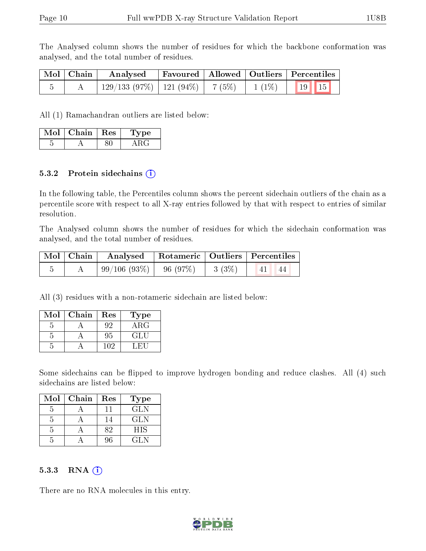The Analysed column shows the number of residues for which the backbone conformation was analysed, and the total number of residues.

| Mol   Chain | Analysed                                                     |  | Favoured   Allowed   Outliers   Percentiles |
|-------------|--------------------------------------------------------------|--|---------------------------------------------|
|             | $\mid$ 129/133 (97%)   121 (94%)   7 (5%)   1 (1%)   19   15 |  |                                             |

All (1) Ramachandran outliers are listed below:

| Mol | Chain | Res | Tvpe |
|-----|-------|-----|------|
|     |       |     |      |

#### 5.3.2 Protein sidechains  $(i)$

In the following table, the Percentiles column shows the percent sidechain outliers of the chain as a percentile score with respect to all X-ray entries followed by that with respect to entries of similar resolution.

The Analysed column shows the number of residues for which the sidechain conformation was analysed, and the total number of residues.

| Mol   Chain | Analysed   Rotameric   Outliers   Percentiles             |  |  |            |
|-------------|-----------------------------------------------------------|--|--|------------|
|             | $\mid 99/106 \; (93\%) \mid 96 \; (97\%) \mid 3 \; (3\%)$ |  |  | 41 <br>44. |

All (3) residues with a non-rotameric sidechain are listed below:

| $\operatorname{Mol}$ | Chain | Res | Type       |
|----------------------|-------|-----|------------|
|                      |       | 92  | $\rm{ARG}$ |
|                      |       | 95  | ( H        |
|                      |       | 109 |            |

Some sidechains can be flipped to improve hydrogen bonding and reduce clashes. All (4) such sidechains are listed below:

| Mol | Chain | Res | <b>Type</b> |
|-----|-------|-----|-------------|
|     |       |     | GLN         |
|     |       | l 4 | GLN         |
|     |       | くつ  | <b>HIS</b>  |
|     |       | 96  | 71 N        |

#### 5.3.3 RNA [O](https://www.wwpdb.org/validation/2017/XrayValidationReportHelp#rna)i

There are no RNA molecules in this entry.

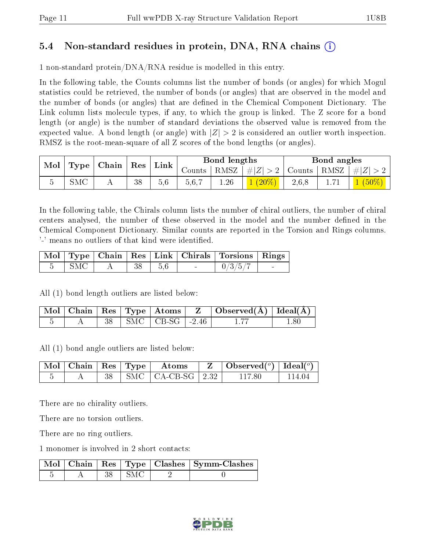#### 5.4 Non-standard residues in protein, DNA, RNA chains (i)

1 non-standard protein/DNA/RNA residue is modelled in this entry.

In the following table, the Counts columns list the number of bonds (or angles) for which Mogul statistics could be retrieved, the number of bonds (or angles) that are observed in the model and the number of bonds (or angles) that are dened in the Chemical Component Dictionary. The Link column lists molecule types, if any, to which the group is linked. The Z score for a bond length (or angle) is the number of standard deviations the observed value is removed from the expected value. A bond length (or angle) with  $|Z| > 2$  is considered an outlier worth inspection. RMSZ is the root-mean-square of all Z scores of the bond lengths (or angles).

| $\mid$ Type $\mid$ Chain<br>Mol |  |  |    | $\mid$ Res |        |         |                                            |                                     |  |         |  |  |  | ${\rm Link}$ |  | Bond lengths |  |  | Bond angles |  |
|---------------------------------|--|--|----|------------|--------|---------|--------------------------------------------|-------------------------------------|--|---------|--|--|--|--------------|--|--------------|--|--|-------------|--|
|                                 |  |  |    |            | Counts |         | $\vert$ RMSZ $\vert \#Z \vert > 2$ $\vert$ | $\vert$ Counts $\vert$ RMSZ $\vert$ |  | $\# Z $ |  |  |  |              |  |              |  |  |             |  |
|                                 |  |  | 38 | 5.6        | 5.6,7  | $.26\,$ |                                            | 2,6,8                               |  |         |  |  |  |              |  |              |  |  |             |  |

In the following table, the Chirals column lists the number of chiral outliers, the number of chiral centers analysed, the number of these observed in the model and the number defined in the Chemical Component Dictionary. Similar counts are reported in the Torsion and Rings columns. '-' means no outliers of that kind were identified.

|     |  |       |        | Mol   Type   Chain   Res   Link   Chirals   Torsions   Rings |        |
|-----|--|-------|--------|--------------------------------------------------------------|--------|
| SMC |  | - 5.6 | $\sim$ | 0/3/5/7                                                      | $\sim$ |

All (1) bond length outliers are listed below:

|  |  |                                         | $\mid$ Mol $\mid$ Chain $\mid$ Res $\mid$ Type $\mid$ Atoms $\mid$ $\mid$ $\mid$ $\mid$ Observed(Å) $\mid$ Ideal(Å) $\mid$ |     |
|--|--|-----------------------------------------|----------------------------------------------------------------------------------------------------------------------------|-----|
|  |  | $\vert$ SMC $\vert$ CB-SG $\vert$ -2.46 |                                                                                                                            | -80 |

All (1) bond angle outliers are listed below:

|  |  | $\mid$ Mol $\mid$ Chain $\mid$ Res $\mid$ Type $\mid$ Atoms | $\mathbf{Z}$   Observed( $^{\circ}$ )   Ideal( $^{\circ}$ ) |        |
|--|--|-------------------------------------------------------------|-------------------------------------------------------------|--------|
|  |  | $\parallel$ SMC $\parallel$ CA-CB-SG $\parallel$ 2.32       | 117 80                                                      | 114 04 |

There are no chirality outliers.

There are no torsion outliers.

There are no ring outliers.

1 monomer is involved in 2 short contacts:

|  |       | $\sqrt{\textrm{Mol} \mid \textrm{Chain} \mid \textrm{Res} \mid \textrm{Type} \mid \textrm{Class} \mid \textrm{Symm-Class}}$ |
|--|-------|-----------------------------------------------------------------------------------------------------------------------------|
|  | ∣ SMC |                                                                                                                             |

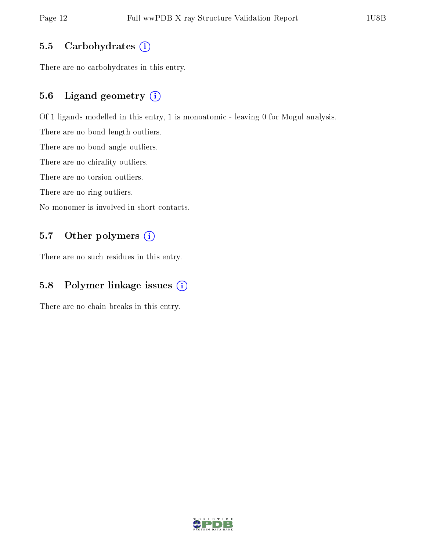#### 5.5 Carbohydrates  $(i)$

There are no carbohydrates in this entry.

#### 5.6 Ligand geometry (i)

Of 1 ligands modelled in this entry, 1 is monoatomic - leaving 0 for Mogul analysis.

There are no bond length outliers.

There are no bond angle outliers.

There are no chirality outliers.

There are no torsion outliers.

There are no ring outliers.

No monomer is involved in short contacts.

#### 5.7 [O](https://www.wwpdb.org/validation/2017/XrayValidationReportHelp#nonstandard_residues_and_ligands)ther polymers (i)

There are no such residues in this entry.

#### 5.8 Polymer linkage issues (i)

There are no chain breaks in this entry.

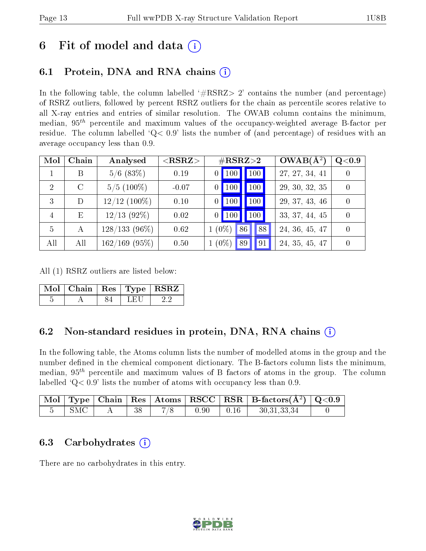### 6 Fit of model and data  $\left( \cdot \right)$

### 6.1 Protein, DNA and RNA chains (i)

In the following table, the column labelled  $#RSRZ>2'$  contains the number (and percentage) of RSRZ outliers, followed by percent RSRZ outliers for the chain as percentile scores relative to all X-ray entries and entries of similar resolution. The OWAB column contains the minimum, median,  $95<sup>th</sup>$  percentile and maximum values of the occupancy-weighted average B-factor per residue. The column labelled  $Q< 0.9$  lists the number of (and percentage) of residues with an average occupancy less than 0.9.

| Mol                         | Chain   | Analysed        | $<$ RSRZ $>$ | $\#\text{RSRZ}{>}2$           | $OWAB(A^2)$    | Q <sub>0.9</sub> |
|-----------------------------|---------|-----------------|--------------|-------------------------------|----------------|------------------|
|                             | В       | $5/6$ (83\%)    | 0.19         | 100 <sub>l</sub><br>$0$   100 | 27, 27, 34, 41 |                  |
| $\mathcal{D}_{\mathcal{A}}$ | $\rm C$ | $5/5(100\%)$    | $-0.07$      | 100 <sub>1</sub><br>100       | 29, 30, 32, 35 | $\theta$         |
| 3                           | D       | $12/12$ (100%)  | 0.10         | 100<br>100                    | 29, 37, 43, 46 | $\Omega$         |
| 4                           | E       | $12/13$ (92%)   | 0.02         | 100<br>$0$   100              | 33, 37, 44, 45 | $\overline{0}$   |
| 5                           | A       | $128/133(96\%)$ | 0.62         | $(0\%)$<br>86<br>88           | 24, 36, 45, 47 | $\Omega$         |
| All                         | All     | $162/169$ (95%) | 0.50         | $1(0\%)$<br>91<br>89          | 24, 35, 45, 47 |                  |

All (1) RSRZ outliers are listed below:

| Mol   Chain   Res   Type   RSRZ |  |  |
|---------------------------------|--|--|
|                                 |  |  |

#### 6.2 Non-standard residues in protein, DNA, RNA chains  $(i)$

In the following table, the Atoms column lists the number of modelled atoms in the group and the number defined in the chemical component dictionary. The B-factors column lists the minimum, median,  $95<sup>th</sup>$  percentile and maximum values of B factors of atoms in the group. The column labelled  $Q < 0.9$ ' lists the number of atoms with occupancy less than 0.9.

|     |  |      |      | $\boxed{\text{ Mol}}$ Type   Chain   Res   Atoms $\boxed{\text{RSCC}}$   RSR   B-factors( $\AA^2$ )   Q<0.9 |  |
|-----|--|------|------|-------------------------------------------------------------------------------------------------------------|--|
| SMC |  | 0.90 | 0.16 | 30, 31, 33, 34                                                                                              |  |

#### 6.3 Carbohydrates (i)

There are no carbohydrates in this entry.